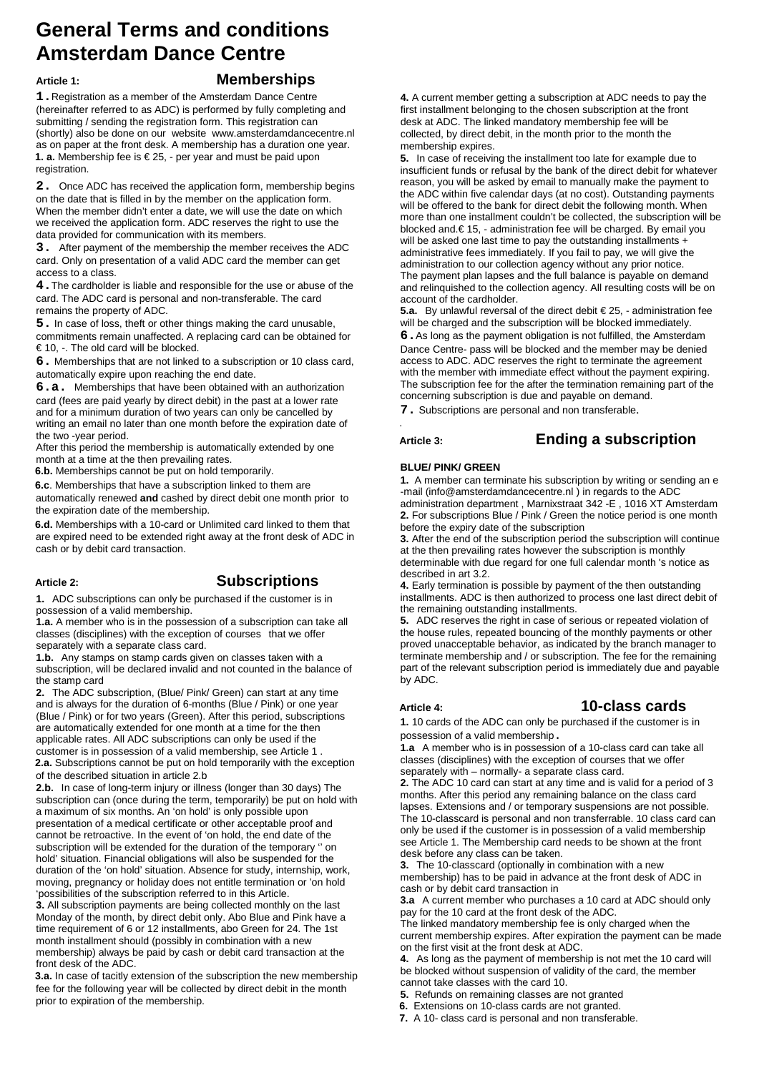# **General Terms and conditions Amsterdam Dance Centre**

# **Article 1: Memberships**

**1.**Registration as a member of the Amsterdam Dance Centre (hereinafter referred to as ADC) is performed by fully completing and submitting / sending the registration form. This registration can (shortly) also be done on our websit[e](http://www.amsterdamdancecentre.nl/) [www.amsterdamdancecentre.nl](http://www.amsterdamdancecentre.nl/) as on paper at the front desk. A membership has a duration one year. **1. a.** Membership fee is € 25, - per year and must be paid upon registration.

**2.** Once ADC has received the application form, membership begins on the date that is filled in by the member on the application form. When the member didn't enter a date, we will use the date on which we received the application form. ADC reserves the right to use the data provided for communication with its members.

**3.** After payment of the membership the member receives the ADC card. Only on presentation of a valid ADC card the member can get access to a class.

**4.**The cardholder is liable and responsible for the use or abuse of the card. The ADC card is personal and non-transferable. The card remains the property of ADC.

**5.** In case of loss, theft or other things making the card unusable, commitments remain unaffected. A replacing card can be obtained for € 10, -. The old card will be blocked.

**6.** Memberships that are not linked to a subscription or 10 class card, automatically expire upon reaching the end date.

**6.a.** Memberships that have been obtained with an authorization card (fees are paid yearly by direct debit) in the past at a lower rate and for a minimum duration of two years can only be cancelled by writing an email no later than one month before the expiration date of the two -year period.

After this period the membership is automatically extended by one month at a time at the then prevailing rates.

**6.b.** Memberships cannot be put on hold temporarily.

**6.c**. Memberships that have a subscription linked to them are automatically renewed **and** cashed by direct debit one month prior to the expiration date of the membership.

**6.d.** Memberships with a 10-card or Unlimited card linked to them that are expired need to be extended right away at the front desk of ADC in cash or by debit card transaction.

# **Article 2: Subscriptions**

**1.** ADC subscriptions can only be purchased if the customer is in possession of a valid membership.

**1.a.** A member who is in the possession of a subscription can take all classes (disciplines) with the exception of courses that we offer separately with a separate class card.

**1.b.** Any stamps on stamp cards given on classes taken with a subscription, will be declared invalid and not counted in the balance of the stamp card

**2.** The ADC subscription, (Blue/ Pink/ Green) can start at any time and is always for the duration of 6-months (Blue / Pink) or one year (Blue / Pink) or for two years (Green). After this period, subscriptions are automatically extended for one month at a time for the then applicable rates. All ADC subscriptions can only be used if the customer is in possession of a valid membership, see Article 1 . **2.a.** Subscriptions cannot be put on hold temporarily with the exception of the described situation in article 2.b

**2.b.** In case of long-term injury or illness (longer than 30 days) The subscription can (once during the term, temporarily) be put on hold with a maximum of six months. An 'on hold' is only possible upon presentation of a medical certificate or other acceptable proof and cannot be retroactive. In the event of 'on hold, the end date of the subscription will be extended for the duration of the temporary '' on hold' situation. Financial obligations will also be suspended for the duration of the 'on hold' situation. Absence for study, internship, work, moving, pregnancy or holiday does not entitle termination or 'on hold 'possibilities of the subscription referred to in this Article.

**3.** All subscription payments are being collected monthly on the last Monday of the month, by direct debit only. Abo Blue and Pink have a time requirement of 6 or 12 installments, abo Green for 24. The 1st month installment should (possibly in combination with a new membership) always be paid by cash or debit card transaction at the front desk of the ADC.

**3.a.** In case of tacitly extension of the subscription the new membership fee for the following year will be collected by direct debit in the month prior to expiration of the membership.

**4.** A current member getting a subscription at ADC needs to pay the first installment belonging to the chosen subscription at the front desk at ADC. The linked mandatory membership fee will be collected, by direct debit, in the month prior to the month the membership expires.

**5.** In case of receiving the installment too late for example due to insufficient funds or refusal by the bank of the direct debit for whatever reason, you will be asked by email to manually make the payment to the ADC within five calendar days (at no cost). Outstanding payments will be offered to the bank for direct debit the following month. When more than one installment couldn't be collected, the subscription will be blocked and.€ 15, - administration fee will be charged. By email you will be asked one last time to pay the outstanding installments + administrative fees immediately. If you fail to pay, we will give the administration to our collection agency without any prior notice. The payment plan lapses and the full balance is payable on demand and relinquished to the collection agency. All resulting costs will be on account of the cardholder.

**5.a.** By unlawful reversal of the direct debit € 25, - administration fee will be charged and the subscription will be blocked immediately. **6.**As long as the payment obligation is not fulfilled, the Amsterdam Dance Centre- pass will be blocked and the member may be denied access to ADC. ADC reserves the right to terminate the agreement with the member with immediate effect without the payment expiring.

The subscription fee for the after the termination remaining part of the concerning subscription is due and payable on demand.

**7.** Subscriptions are personal and non transferable.

.

# **Article 3: Ending a subscription**

### **BLUE/ PINK/ GREEN**

**1.** A member can terminate his subscription by writing or sending an e -mail (info@amsterdamdancecentre.nl ) in regards to the ADC administration department , Marnixstraat 342 -E , 1016 XT Amsterdam **2.** For subscriptions Blue / Pink / Green the notice period is one month before the expiry date of the subscription

**3.** After the end of the subscription period the subscription will continue at the then prevailing rates however the subscription is monthly determinable with due regard for one full calendar month 's notice as described in art 3.2.

**4.** Early termination is possible by payment of the then outstanding installments. ADC is then authorized to process one last direct debit of the remaining outstanding installments.

**5.** ADC reserves the right in case of serious or repeated violation of the house rules, repeated bouncing of the monthly payments or other proved unacceptable behavior, as indicated by the branch manager to terminate membership and / or subscription. The fee for the remaining part of the relevant subscription period is immediately due and payable by ADC.

# **Article 4: 10-class cards**

**1.** 10 cards of the ADC can only be purchased if the customer is in possession of a valid membership.

**1.a** A member who is in possession of a 10-class card can take all classes (disciplines) with the exception of courses that we offer separately with – normally- a separate class card.

**2.** The ADC 10 card can start at any time and is valid for a period of 3 months. After this period any remaining balance on the class card lapses. Extensions and / or temporary suspensions are not possible. The 10-classcard is personal and non transferrable. 10 class card can only be used if the customer is in possession of a valid membership see Article 1. The Membership card needs to be shown at the front desk before any class can be taken.

**3.** The 10-classcard (optionally in combination with a new membership) has to be paid in advance at the front desk of ADC in cash or by debit card transaction in

**3.a** A current member who purchases a 10 card at ADC should only pay for the 10 card at the front desk of the ADC.

The linked mandatory membership fee is only charged when the current membership expires. After expiration the payment can be made on the first visit at the front desk at ADC.

**4.** As long as the payment of membership is not met the 10 card will be blocked without suspension of validity of the card, the member cannot take classes with the card 10.

**5.** Refunds on remaining classes are not granted

**6.** Extensions on 10-class cards are not granted.

**7.** A 10- class card is personal and non transferable.